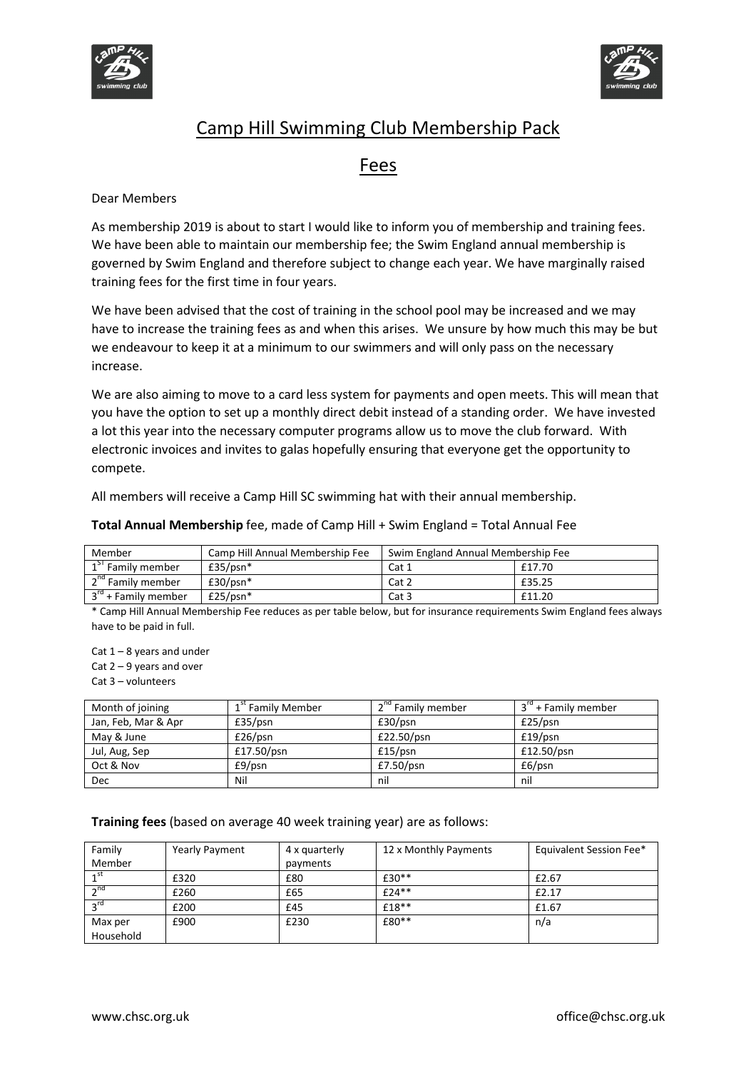



### Fees

#### Dear Members

As membership 2019 is about to start I would like to inform you of membership and training fees. We have been able to maintain our membership fee; the Swim England annual membership is governed by Swim England and therefore subject to change each year. We have marginally raised training fees for the first time in four years.

We have been advised that the cost of training in the school pool may be increased and we may have to increase the training fees as and when this arises. We unsure by how much this may be but we endeavour to keep it at a minimum to our swimmers and will only pass on the necessary increase.

We are also aiming to move to a card less system for payments and open meets. This will mean that you have the option to set up a monthly direct debit instead of a standing order. We have invested a lot this year into the necessary computer programs allow us to move the club forward. With electronic invoices and invites to galas hopefully ensuring that everyone get the opportunity to compete.

All members will receive a Camp Hill SC swimming hat with their annual membership.

Total Annual Membership fee, made of Camp Hill + Swim England = Total Annual Fee

| Member                        | Camp Hill Annual Membership Fee | Swim England Annual Membership Fee |        |
|-------------------------------|---------------------------------|------------------------------------|--------|
| $1ST$ Family member           | $£35/psn*$                      | Cat 1                              | £17.70 |
| 2 <sup>nd</sup> Family member | $£30/psn*$                      | Cat 2                              | £35.25 |
| $3^{rd}$ + Family member      | $£25/psn*$                      | Cat 3                              | £11.20 |

\* Camp Hill Annual Membership Fee reduces as per table below, but for insurance requirements Swim England fees always have to be paid in full.

Cat  $1 - 8$  years and under

Cat  $2 - 9$  years and over

Cat 3 – volunteers

| Month of joining    | 1 <sup>st</sup> Family Member | 2 <sup>nd</sup> Family member | 3 <sup>rd</sup> + Family member |
|---------------------|-------------------------------|-------------------------------|---------------------------------|
| Jan, Feb, Mar & Apr | £35/psn                       | £30/psn                       | £25/psn                         |
| May & June          | £26/psn                       | £22.50/psn                    | £19/psn                         |
| Jul, Aug, Sep       | £17.50/psn                    | £15/psn                       | £12.50/psn                      |
| Oct & Nov           | $E9/$ psn                     | £7.50/psn                     | £6/psn                          |
| <b>Dec</b>          | Nil                           | nil                           | nil                             |

Training fees (based on average 40 week training year) are as follows:

| Family    | Yearly Payment | 4 x quarterly | 12 x Monthly Payments | Equivalent Session Fee* |
|-----------|----------------|---------------|-----------------------|-------------------------|
| Member    |                | payments      |                       |                         |
| 4 ST      | £320           | £80           | £30**                 | £2.67                   |
| $\sim$ nd | £260           | £65           | $f$ 74**              | £2.17                   |
|           | £200           | £45           | £18**                 | £1.67                   |
| Max per   | £900           | £230          | £80**                 | n/a                     |
| Household |                |               |                       |                         |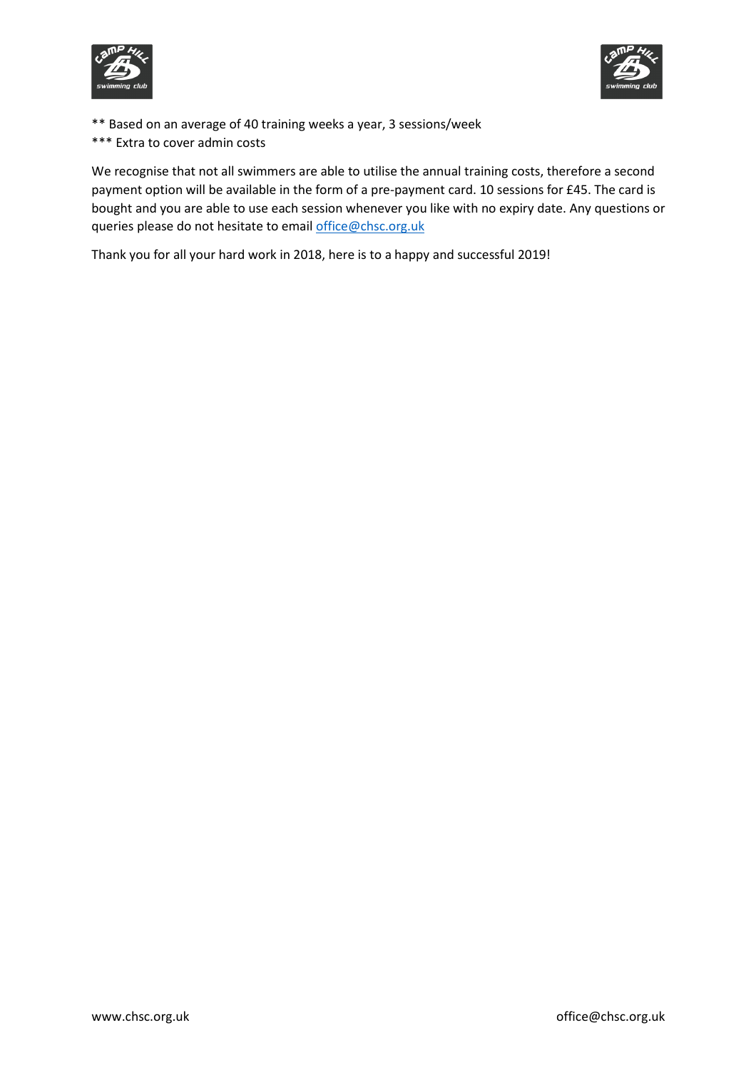



\*\* Based on an average of 40 training weeks a year, 3 sessions/week \*\*\* Extra to cover admin costs

We recognise that not all swimmers are able to utilise the annual training costs, therefore a second payment option will be available in the form of a pre-payment card. 10 sessions for £45. The card is bought and you are able to use each session whenever you like with no expiry date. Any questions or queries please do not hesitate to email office@chsc.org.uk

Thank you for all your hard work in 2018, here is to a happy and successful 2019!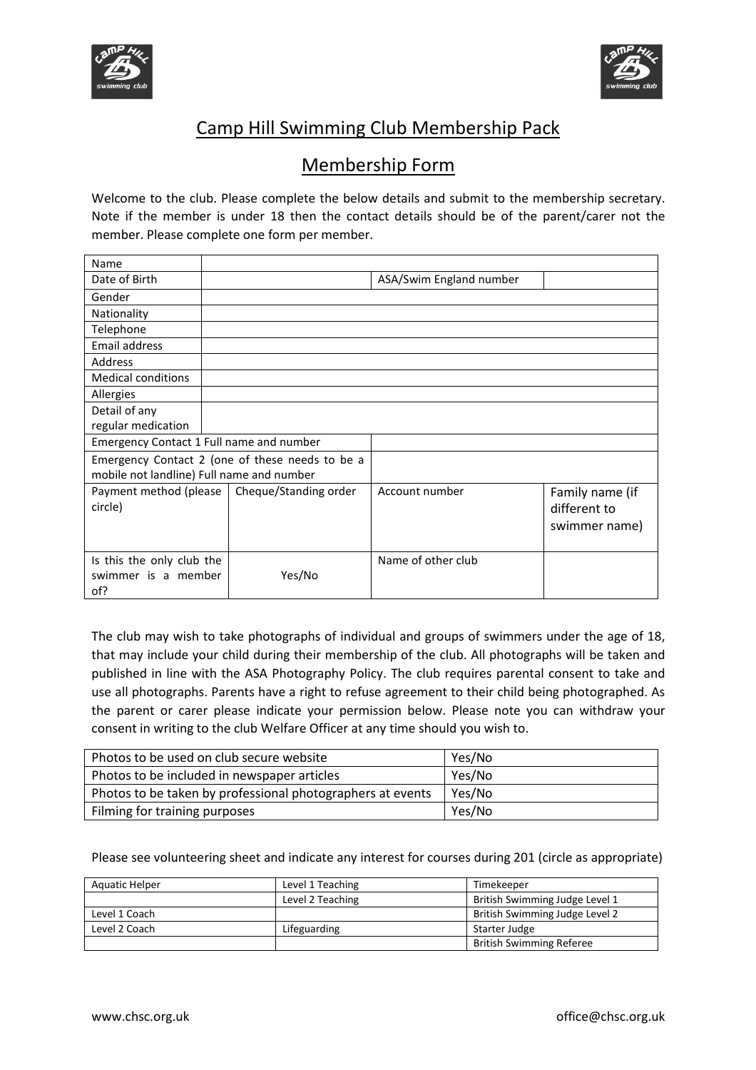



## Membership Form

Welcome to the club. Please complete the below details and submit to the membership secretary. Note if the member is under 18 then the contact details should be of the parent/carer not the member. Please complete one form per member.

| Name                                            |                       |                         |                 |
|-------------------------------------------------|-----------------------|-------------------------|-----------------|
| Date of Birth                                   |                       | ASA/Swim England number |                 |
| Gender                                          |                       |                         |                 |
| Nationality                                     |                       |                         |                 |
| Telephone                                       |                       |                         |                 |
| Email address                                   |                       |                         |                 |
| Address                                         |                       |                         |                 |
| <b>Medical conditions</b>                       |                       |                         |                 |
| Allergies                                       |                       |                         |                 |
| Detail of any                                   |                       |                         |                 |
| regular medication                              |                       |                         |                 |
| Emergency Contact 1 Full name and number        |                       |                         |                 |
| Emergency Contact 2 (one of these needs to be a |                       |                         |                 |
| mobile not landline) Full name and number       |                       |                         |                 |
| Payment method (please                          | Cheque/Standing order | Account number          | Family name (if |
| circle)                                         |                       |                         | different to    |
|                                                 |                       |                         | swimmer name)   |
|                                                 |                       |                         |                 |
| Is this the only club the                       |                       | Name of other club      |                 |
| swimmer is a member                             | Yes/No                |                         |                 |
| of?                                             |                       |                         |                 |

The club may wish to take photographs of individual and groups of swimmers under the age of 18, that may include your child during their membership of the club. All photographs will be taken and published in line with the ASA Photography Policy. The club requires parental consent to take and use all photographs. Parents have a right to refuse agreement to their child being photographed. As the parent or carer please indicate your permission below. Please note you can withdraw your consent in writing to the club Welfare Officer at any time should you wish to.

| Photos to be used on club secure website                   | Yes/No |
|------------------------------------------------------------|--------|
| Photos to be included in newspaper articles                | Yes/No |
| Photos to be taken by professional photographers at events | Yes/No |
| Filming for training purposes                              | Yes/No |

Please see volunteering sheet and indicate any interest for courses during 201 (circle as appropriate)

| Aquatic Helper | Level 1 Teaching | Timekeeper                      |
|----------------|------------------|---------------------------------|
|                | Level 2 Teaching | British Swimming Judge Level 1  |
| Level 1 Coach  |                  | British Swimming Judge Level 2  |
| Level 2 Coach  | Lifeguarding     | Starter Judge                   |
|                |                  | <b>British Swimming Referee</b> |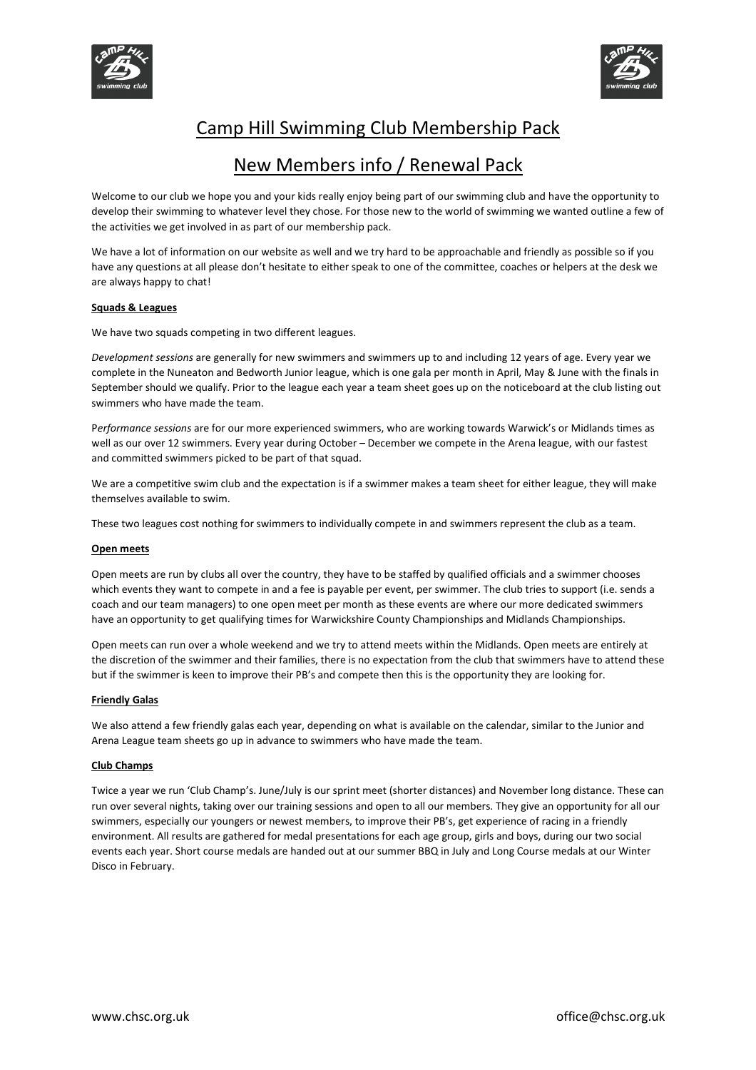



### New Members info / Renewal Pack

Welcome to our club we hope you and your kids really enjoy being part of our swimming club and have the opportunity to develop their swimming to whatever level they chose. For those new to the world of swimming we wanted outline a few of the activities we get involved in as part of our membership pack.

We have a lot of information on our website as well and we try hard to be approachable and friendly as possible so if you have any questions at all please don't hesitate to either speak to one of the committee, coaches or helpers at the desk we are always happy to chat!

#### Squads & Leagues

We have two squads competing in two different leagues.

Development sessions are generally for new swimmers and swimmers up to and including 12 years of age. Every year we complete in the Nuneaton and Bedworth Junior league, which is one gala per month in April, May & June with the finals in September should we qualify. Prior to the league each year a team sheet goes up on the noticeboard at the club listing out swimmers who have made the team.

Performance sessions are for our more experienced swimmers, who are working towards Warwick's or Midlands times as well as our over 12 swimmers. Every year during October – December we compete in the Arena league, with our fastest and committed swimmers picked to be part of that squad.

We are a competitive swim club and the expectation is if a swimmer makes a team sheet for either league, they will make themselves available to swim.

These two leagues cost nothing for swimmers to individually compete in and swimmers represent the club as a team.

#### Open meets

Open meets are run by clubs all over the country, they have to be staffed by qualified officials and a swimmer chooses which events they want to compete in and a fee is payable per event, per swimmer. The club tries to support (i.e. sends a coach and our team managers) to one open meet per month as these events are where our more dedicated swimmers have an opportunity to get qualifying times for Warwickshire County Championships and Midlands Championships.

Open meets can run over a whole weekend and we try to attend meets within the Midlands. Open meets are entirely at the discretion of the swimmer and their families, there is no expectation from the club that swimmers have to attend these but if the swimmer is keen to improve their PB's and compete then this is the opportunity they are looking for.

#### Friendly Galas

We also attend a few friendly galas each year, depending on what is available on the calendar, similar to the Junior and Arena League team sheets go up in advance to swimmers who have made the team.

#### Club Champs

Twice a year we run 'Club Champ's. June/July is our sprint meet (shorter distances) and November long distance. These can run over several nights, taking over our training sessions and open to all our members. They give an opportunity for all our swimmers, especially our youngers or newest members, to improve their PB's, get experience of racing in a friendly environment. All results are gathered for medal presentations for each age group, girls and boys, during our two social events each year. Short course medals are handed out at our summer BBQ in July and Long Course medals at our Winter Disco in February.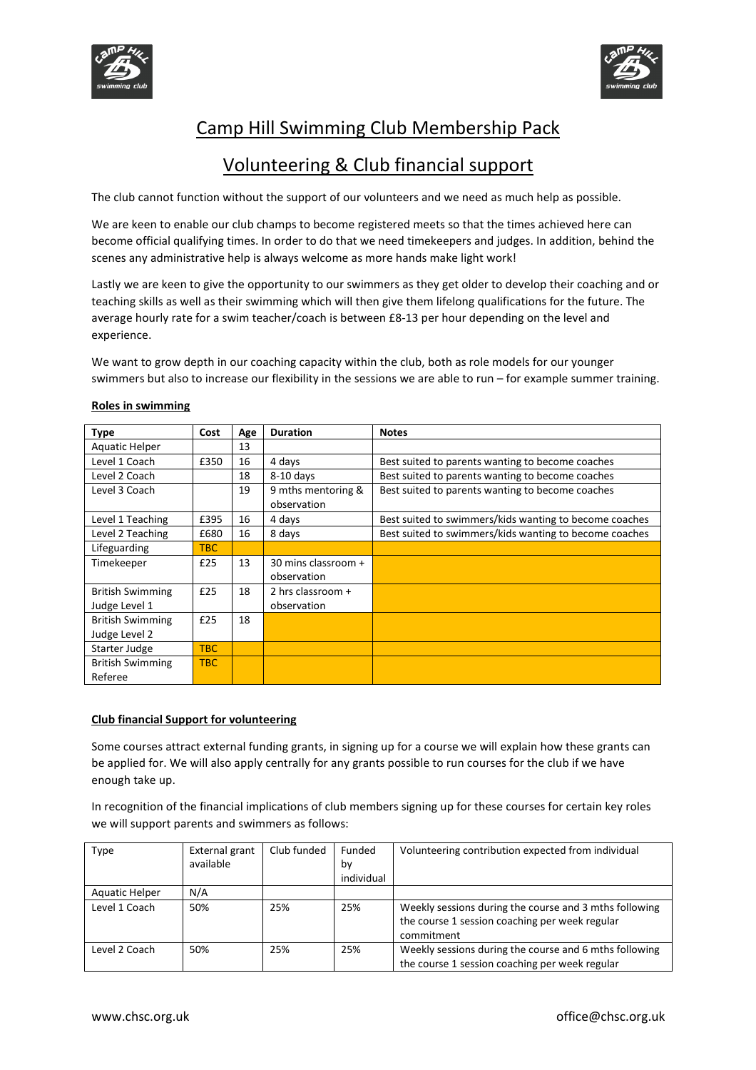



## Volunteering & Club financial support

The club cannot function without the support of our volunteers and we need as much help as possible.

We are keen to enable our club champs to become registered meets so that the times achieved here can become official qualifying times. In order to do that we need timekeepers and judges. In addition, behind the scenes any administrative help is always welcome as more hands make light work!

Lastly we are keen to give the opportunity to our swimmers as they get older to develop their coaching and or teaching skills as well as their swimming which will then give them lifelong qualifications for the future. The average hourly rate for a swim teacher/coach is between £8-13 per hour depending on the level and experience.

We want to grow depth in our coaching capacity within the club, both as role models for our younger swimmers but also to increase our flexibility in the sessions we are able to run – for example summer training.

| <b>Type</b>             | Cost | Age | <b>Duration</b>                    | <b>Notes</b>                                           |
|-------------------------|------|-----|------------------------------------|--------------------------------------------------------|
| Aquatic Helper          |      | 13  |                                    |                                                        |
| Level 1 Coach           | £350 | 16  | 4 days                             | Best suited to parents wanting to become coaches       |
| Level 2 Coach           |      | 18  | $8-10$ days                        | Best suited to parents wanting to become coaches       |
| Level 3 Coach           |      | 19  | 9 mths mentoring &<br>observation  | Best suited to parents wanting to become coaches       |
| Level 1 Teaching        | £395 | 16  | 4 days                             | Best suited to swimmers/kids wanting to become coaches |
| Level 2 Teaching        | £680 | 16  | 8 days                             | Best suited to swimmers/kids wanting to become coaches |
| Lifeguarding            | TBC. |     |                                    |                                                        |
| Timekeeper              | £25  | 13  | 30 mins classroom +<br>observation |                                                        |
| <b>British Swimming</b> | £25  | 18  | 2 hrs classroom +                  |                                                        |
| Judge Level 1           |      |     | observation                        |                                                        |
| <b>British Swimming</b> | £25  | 18  |                                    |                                                        |
| Judge Level 2           |      |     |                                    |                                                        |
| Starter Judge           | TBC  |     |                                    |                                                        |
| <b>British Swimming</b> | TBC  |     |                                    |                                                        |
| Referee                 |      |     |                                    |                                                        |

#### Roles in swimming

#### Club financial Support for volunteering

Some courses attract external funding grants, in signing up for a course we will explain how these grants can be applied for. We will also apply centrally for any grants possible to run courses for the club if we have enough take up.

In recognition of the financial implications of club members signing up for these courses for certain key roles we will support parents and swimmers as follows:

| Type           | External grant<br>available | Club funded | Funded<br>b٧ | Volunteering contribution expected from individual                                                                     |
|----------------|-----------------------------|-------------|--------------|------------------------------------------------------------------------------------------------------------------------|
|                |                             |             | individual   |                                                                                                                        |
| Aquatic Helper | N/A                         |             |              |                                                                                                                        |
| Level 1 Coach  | 50%                         | 25%         | 25%          | Weekly sessions during the course and 3 mths following<br>the course 1 session coaching per week regular<br>commitment |
| Level 2 Coach  | 50%                         | 25%         | 25%          | Weekly sessions during the course and 6 mths following<br>the course 1 session coaching per week regular               |